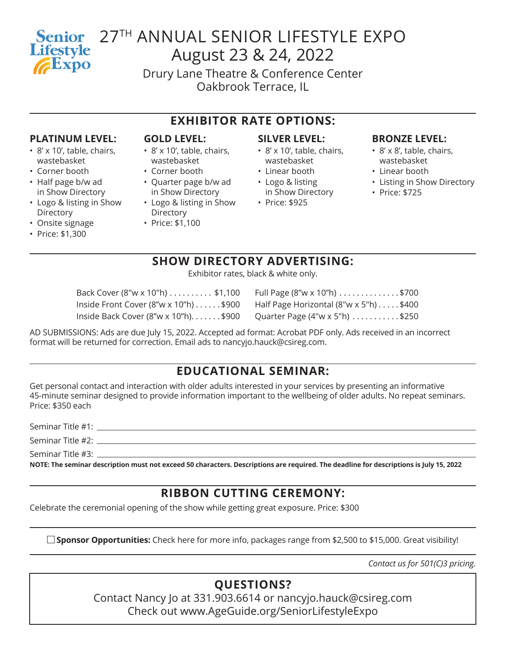# **Lifestyle** Expo

## Senior 27<sup>TH</sup> ANNUAL SENIOR LIFESTYLE EXPO August 23 & 24, 2022

Drury Lane Theatre & Conference Center Oakbrook Terrace, IL

### **EXHIBITOR RATE OPTIONS:**

#### **PLATINUM LEVEL:**

- 8' x 10', table, chairs, wastebasket
- Corner booth
- Half page b/w ad in Show Directory
- Logo & listing in Show **Directory**
- Onsite signage
- Price: \$1,300

#### **GOLD LEVEL:**

- 8' x 10', table, chairs, wastebasket
- Corner booth
- Quarter page b/w ad in Show Directory
- Logo & listing in Show **Directory**
- Price: \$1,100

#### **SILVER LEVEL:**

- 8' x 10', table, chairs, wastebasket
- Linear booth
- Logo & listing in Show Directory
- Price: \$925

#### **BRONZE LEVEL:**

- 8' x 8', table, chairs, wastebasket
- Linear booth
- Listing in Show Directory
- Price: \$725

## **SHOW DIRECTORY ADVERTISING:**

Exhibitor rates, black & white only.

| Back Cover (8"w x 10"h) \$1,100                                                                            | Full Page (8"w x 10"h) \$700 |
|------------------------------------------------------------------------------------------------------------|------------------------------|
| Inside Front Cover $(8''w \times 10''h) \dots$ \$900 Half Page Horizontal $(8''w \times 5''h) \dots$ \$400 |                              |
| Inside Back Cover (8"w x 10"h)\$900 Quarter Page (4"w x 5"h) \$250                                         |                              |

| Full Page (8"w x 10"h) \$700           |  |
|----------------------------------------|--|
| Half Page Horizontal (8"w x 5"h) \$400 |  |
| Quarter Page (4"w x 5"h) \$250         |  |

AD SUBMISSIONS: Ads are due July 15, 2022. Accepted ad format: Acrobat PDF only. Ads received in an incorrect format will be returned for correction. Email ads to nancyjo.hauck@csireg.com.

## **EDUCATIONAL SEMINAR:**

Get personal contact and interaction with older adults interested in your services by presenting an informative 45-minute seminar designed to provide information important to the wellbeing of older adults. No repeat seminars. Price: \$350 each

Seminar Title #1:

Seminar Title #2:

Seminar Title #3:

**NOTE: The seminar description must not exceed 50 characters. Descriptions are required. The deadline for descriptions is July 15, 2022**

## **RIBBON CUTTING CEREMONY:**

Celebrate the ceremonial opening of the show while getting great exposure. Price: \$300

**Sponsor Opportunities:** Check here for more info, packages range from \$2,500 to \$15,000. Great visibility!

*Contact us for 501(C)3 pricing.*

## **QUESTIONS?**

Contact Nancy Jo at 331.903.6614 or nancyjo.hauck@csireg.com Check out www.AgeGuide.org/SeniorLifestyleExpo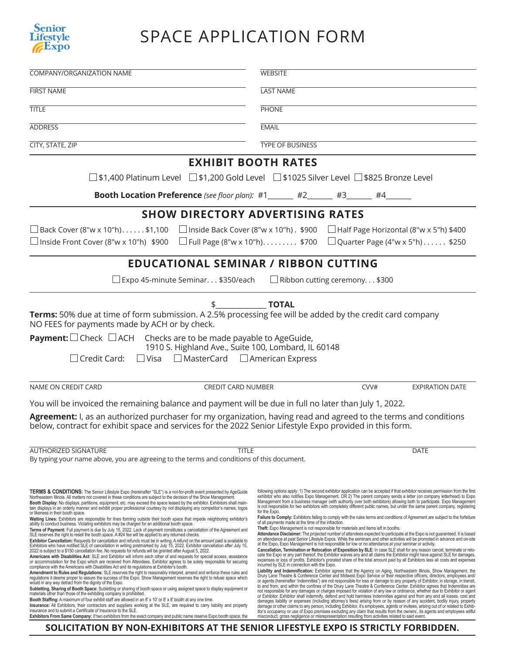

## SPACE APPLICATION FORM

| <b>COMPANY/ORGANIZATION NAME</b>                                                                                                                                                                                                                                                                                                                                                                                                                                                                                                                                                                                                                                                                                                                                                                                                                                                                                                                                                                                                                                                                                                                                                                                                                                                                                                                                                                                                                                                                                                                                                                                                                                                                                                                                                                                                                                                                                                                                                                                                                                                                                                                                                                                                                                                                                                                                                                                                                                                                                                                                                                                                                                                                                                | <b>WEBSITE</b>                                                                                                                                                                                                                                                                                                                                                                                                                                                                                                                                                                                                                                                                                                                                                                                                                                                                                                                                                                                                                                                                                                                                                                                                                                                                                                                                                                                                                                                                                                                                                                                                                                                                                                                                                                                                                                                                                                                                                                                                                                                                                                                                                                                                                                                                                                                                                                                                                                                                                                                                                                                                                                                                                                                                                                                                                                                                                                                              |  |
|---------------------------------------------------------------------------------------------------------------------------------------------------------------------------------------------------------------------------------------------------------------------------------------------------------------------------------------------------------------------------------------------------------------------------------------------------------------------------------------------------------------------------------------------------------------------------------------------------------------------------------------------------------------------------------------------------------------------------------------------------------------------------------------------------------------------------------------------------------------------------------------------------------------------------------------------------------------------------------------------------------------------------------------------------------------------------------------------------------------------------------------------------------------------------------------------------------------------------------------------------------------------------------------------------------------------------------------------------------------------------------------------------------------------------------------------------------------------------------------------------------------------------------------------------------------------------------------------------------------------------------------------------------------------------------------------------------------------------------------------------------------------------------------------------------------------------------------------------------------------------------------------------------------------------------------------------------------------------------------------------------------------------------------------------------------------------------------------------------------------------------------------------------------------------------------------------------------------------------------------------------------------------------------------------------------------------------------------------------------------------------------------------------------------------------------------------------------------------------------------------------------------------------------------------------------------------------------------------------------------------------------------------------------------------------------------------------------------------------|---------------------------------------------------------------------------------------------------------------------------------------------------------------------------------------------------------------------------------------------------------------------------------------------------------------------------------------------------------------------------------------------------------------------------------------------------------------------------------------------------------------------------------------------------------------------------------------------------------------------------------------------------------------------------------------------------------------------------------------------------------------------------------------------------------------------------------------------------------------------------------------------------------------------------------------------------------------------------------------------------------------------------------------------------------------------------------------------------------------------------------------------------------------------------------------------------------------------------------------------------------------------------------------------------------------------------------------------------------------------------------------------------------------------------------------------------------------------------------------------------------------------------------------------------------------------------------------------------------------------------------------------------------------------------------------------------------------------------------------------------------------------------------------------------------------------------------------------------------------------------------------------------------------------------------------------------------------------------------------------------------------------------------------------------------------------------------------------------------------------------------------------------------------------------------------------------------------------------------------------------------------------------------------------------------------------------------------------------------------------------------------------------------------------------------------------------------------------------------------------------------------------------------------------------------------------------------------------------------------------------------------------------------------------------------------------------------------------------------------------------------------------------------------------------------------------------------------------------------------------------------------------------------------------------------------------|--|
| <b>FIRST NAME</b>                                                                                                                                                                                                                                                                                                                                                                                                                                                                                                                                                                                                                                                                                                                                                                                                                                                                                                                                                                                                                                                                                                                                                                                                                                                                                                                                                                                                                                                                                                                                                                                                                                                                                                                                                                                                                                                                                                                                                                                                                                                                                                                                                                                                                                                                                                                                                                                                                                                                                                                                                                                                                                                                                                               | <b>LAST NAME</b>                                                                                                                                                                                                                                                                                                                                                                                                                                                                                                                                                                                                                                                                                                                                                                                                                                                                                                                                                                                                                                                                                                                                                                                                                                                                                                                                                                                                                                                                                                                                                                                                                                                                                                                                                                                                                                                                                                                                                                                                                                                                                                                                                                                                                                                                                                                                                                                                                                                                                                                                                                                                                                                                                                                                                                                                                                                                                                                            |  |
| <b>TITLE</b>                                                                                                                                                                                                                                                                                                                                                                                                                                                                                                                                                                                                                                                                                                                                                                                                                                                                                                                                                                                                                                                                                                                                                                                                                                                                                                                                                                                                                                                                                                                                                                                                                                                                                                                                                                                                                                                                                                                                                                                                                                                                                                                                                                                                                                                                                                                                                                                                                                                                                                                                                                                                                                                                                                                    | <b>PHONE</b>                                                                                                                                                                                                                                                                                                                                                                                                                                                                                                                                                                                                                                                                                                                                                                                                                                                                                                                                                                                                                                                                                                                                                                                                                                                                                                                                                                                                                                                                                                                                                                                                                                                                                                                                                                                                                                                                                                                                                                                                                                                                                                                                                                                                                                                                                                                                                                                                                                                                                                                                                                                                                                                                                                                                                                                                                                                                                                                                |  |
| <b>ADDRESS</b>                                                                                                                                                                                                                                                                                                                                                                                                                                                                                                                                                                                                                                                                                                                                                                                                                                                                                                                                                                                                                                                                                                                                                                                                                                                                                                                                                                                                                                                                                                                                                                                                                                                                                                                                                                                                                                                                                                                                                                                                                                                                                                                                                                                                                                                                                                                                                                                                                                                                                                                                                                                                                                                                                                                  | <b>EMAIL</b>                                                                                                                                                                                                                                                                                                                                                                                                                                                                                                                                                                                                                                                                                                                                                                                                                                                                                                                                                                                                                                                                                                                                                                                                                                                                                                                                                                                                                                                                                                                                                                                                                                                                                                                                                                                                                                                                                                                                                                                                                                                                                                                                                                                                                                                                                                                                                                                                                                                                                                                                                                                                                                                                                                                                                                                                                                                                                                                                |  |
| <b>CITY, STATE, ZIP</b>                                                                                                                                                                                                                                                                                                                                                                                                                                                                                                                                                                                                                                                                                                                                                                                                                                                                                                                                                                                                                                                                                                                                                                                                                                                                                                                                                                                                                                                                                                                                                                                                                                                                                                                                                                                                                                                                                                                                                                                                                                                                                                                                                                                                                                                                                                                                                                                                                                                                                                                                                                                                                                                                                                         | <b>TYPE OF BUSINESS</b>                                                                                                                                                                                                                                                                                                                                                                                                                                                                                                                                                                                                                                                                                                                                                                                                                                                                                                                                                                                                                                                                                                                                                                                                                                                                                                                                                                                                                                                                                                                                                                                                                                                                                                                                                                                                                                                                                                                                                                                                                                                                                                                                                                                                                                                                                                                                                                                                                                                                                                                                                                                                                                                                                                                                                                                                                                                                                                                     |  |
| <b>EXHIBIT BOOTH RATES</b>                                                                                                                                                                                                                                                                                                                                                                                                                                                                                                                                                                                                                                                                                                                                                                                                                                                                                                                                                                                                                                                                                                                                                                                                                                                                                                                                                                                                                                                                                                                                                                                                                                                                                                                                                                                                                                                                                                                                                                                                                                                                                                                                                                                                                                                                                                                                                                                                                                                                                                                                                                                                                                                                                                      |                                                                                                                                                                                                                                                                                                                                                                                                                                                                                                                                                                                                                                                                                                                                                                                                                                                                                                                                                                                                                                                                                                                                                                                                                                                                                                                                                                                                                                                                                                                                                                                                                                                                                                                                                                                                                                                                                                                                                                                                                                                                                                                                                                                                                                                                                                                                                                                                                                                                                                                                                                                                                                                                                                                                                                                                                                                                                                                                             |  |
|                                                                                                                                                                                                                                                                                                                                                                                                                                                                                                                                                                                                                                                                                                                                                                                                                                                                                                                                                                                                                                                                                                                                                                                                                                                                                                                                                                                                                                                                                                                                                                                                                                                                                                                                                                                                                                                                                                                                                                                                                                                                                                                                                                                                                                                                                                                                                                                                                                                                                                                                                                                                                                                                                                                                 | □ \$1,400 Platinum Level □ \$1,200 Gold Level □ \$1025 Silver Level □ \$825 Bronze Level                                                                                                                                                                                                                                                                                                                                                                                                                                                                                                                                                                                                                                                                                                                                                                                                                                                                                                                                                                                                                                                                                                                                                                                                                                                                                                                                                                                                                                                                                                                                                                                                                                                                                                                                                                                                                                                                                                                                                                                                                                                                                                                                                                                                                                                                                                                                                                                                                                                                                                                                                                                                                                                                                                                                                                                                                                                    |  |
| <b>Booth Location Preference</b> (see floor plan): #1 ______ #2______ #3______ #4______                                                                                                                                                                                                                                                                                                                                                                                                                                                                                                                                                                                                                                                                                                                                                                                                                                                                                                                                                                                                                                                                                                                                                                                                                                                                                                                                                                                                                                                                                                                                                                                                                                                                                                                                                                                                                                                                                                                                                                                                                                                                                                                                                                                                                                                                                                                                                                                                                                                                                                                                                                                                                                         |                                                                                                                                                                                                                                                                                                                                                                                                                                                                                                                                                                                                                                                                                                                                                                                                                                                                                                                                                                                                                                                                                                                                                                                                                                                                                                                                                                                                                                                                                                                                                                                                                                                                                                                                                                                                                                                                                                                                                                                                                                                                                                                                                                                                                                                                                                                                                                                                                                                                                                                                                                                                                                                                                                                                                                                                                                                                                                                                             |  |
| <b>SHOW DIRECTORY ADVERTISING RATES</b>                                                                                                                                                                                                                                                                                                                                                                                                                                                                                                                                                                                                                                                                                                                                                                                                                                                                                                                                                                                                                                                                                                                                                                                                                                                                                                                                                                                                                                                                                                                                                                                                                                                                                                                                                                                                                                                                                                                                                                                                                                                                                                                                                                                                                                                                                                                                                                                                                                                                                                                                                                                                                                                                                         |                                                                                                                                                                                                                                                                                                                                                                                                                                                                                                                                                                                                                                                                                                                                                                                                                                                                                                                                                                                                                                                                                                                                                                                                                                                                                                                                                                                                                                                                                                                                                                                                                                                                                                                                                                                                                                                                                                                                                                                                                                                                                                                                                                                                                                                                                                                                                                                                                                                                                                                                                                                                                                                                                                                                                                                                                                                                                                                                             |  |
| □ Back Cover (8"w x 10"h)\$1,100<br>$□$ Inside Back Cover (8"w x 10"h). \$900<br>$\Box$ Inside Front Cover (8"w x 10"h) \$900<br>$\Box$ Full Page (8"w x 10"h) \$700                                                                                                                                                                                                                                                                                                                                                                                                                                                                                                                                                                                                                                                                                                                                                                                                                                                                                                                                                                                                                                                                                                                                                                                                                                                                                                                                                                                                                                                                                                                                                                                                                                                                                                                                                                                                                                                                                                                                                                                                                                                                                                                                                                                                                                                                                                                                                                                                                                                                                                                                                            | $\Box$ Half Page Horizontal (8"w x 5"h) \$400<br>Quarter Page (4"w x 5"h) \$250                                                                                                                                                                                                                                                                                                                                                                                                                                                                                                                                                                                                                                                                                                                                                                                                                                                                                                                                                                                                                                                                                                                                                                                                                                                                                                                                                                                                                                                                                                                                                                                                                                                                                                                                                                                                                                                                                                                                                                                                                                                                                                                                                                                                                                                                                                                                                                                                                                                                                                                                                                                                                                                                                                                                                                                                                                                             |  |
| <b>EDUCATIONAL SEMINAR / RIBBON CUTTING</b>                                                                                                                                                                                                                                                                                                                                                                                                                                                                                                                                                                                                                                                                                                                                                                                                                                                                                                                                                                                                                                                                                                                                                                                                                                                                                                                                                                                                                                                                                                                                                                                                                                                                                                                                                                                                                                                                                                                                                                                                                                                                                                                                                                                                                                                                                                                                                                                                                                                                                                                                                                                                                                                                                     |                                                                                                                                                                                                                                                                                                                                                                                                                                                                                                                                                                                                                                                                                                                                                                                                                                                                                                                                                                                                                                                                                                                                                                                                                                                                                                                                                                                                                                                                                                                                                                                                                                                                                                                                                                                                                                                                                                                                                                                                                                                                                                                                                                                                                                                                                                                                                                                                                                                                                                                                                                                                                                                                                                                                                                                                                                                                                                                                             |  |
| $\Box$ Expo 45-minute Seminar. \$350/each<br>$\Box$ Ribbon cutting ceremony \$300                                                                                                                                                                                                                                                                                                                                                                                                                                                                                                                                                                                                                                                                                                                                                                                                                                                                                                                                                                                                                                                                                                                                                                                                                                                                                                                                                                                                                                                                                                                                                                                                                                                                                                                                                                                                                                                                                                                                                                                                                                                                                                                                                                                                                                                                                                                                                                                                                                                                                                                                                                                                                                               |                                                                                                                                                                                                                                                                                                                                                                                                                                                                                                                                                                                                                                                                                                                                                                                                                                                                                                                                                                                                                                                                                                                                                                                                                                                                                                                                                                                                                                                                                                                                                                                                                                                                                                                                                                                                                                                                                                                                                                                                                                                                                                                                                                                                                                                                                                                                                                                                                                                                                                                                                                                                                                                                                                                                                                                                                                                                                                                                             |  |
| NO FEES for payments made by ACH or by check.<br><b>Payment:</b> $\Box$ Check $\Box$ ACH Checks are to be made payable to AgeGuide,<br>1910 S. Highland Ave., Suite 100, Lombard, IL 60148<br>$\Box$ Visa $\Box$ MasterCard $\Box$ American Express<br>$\Box$ Credit Card:                                                                                                                                                                                                                                                                                                                                                                                                                                                                                                                                                                                                                                                                                                                                                                                                                                                                                                                                                                                                                                                                                                                                                                                                                                                                                                                                                                                                                                                                                                                                                                                                                                                                                                                                                                                                                                                                                                                                                                                                                                                                                                                                                                                                                                                                                                                                                                                                                                                      |                                                                                                                                                                                                                                                                                                                                                                                                                                                                                                                                                                                                                                                                                                                                                                                                                                                                                                                                                                                                                                                                                                                                                                                                                                                                                                                                                                                                                                                                                                                                                                                                                                                                                                                                                                                                                                                                                                                                                                                                                                                                                                                                                                                                                                                                                                                                                                                                                                                                                                                                                                                                                                                                                                                                                                                                                                                                                                                                             |  |
| NAME ON CREDIT CARD<br><b>CREDIT CARD NUMBER</b>                                                                                                                                                                                                                                                                                                                                                                                                                                                                                                                                                                                                                                                                                                                                                                                                                                                                                                                                                                                                                                                                                                                                                                                                                                                                                                                                                                                                                                                                                                                                                                                                                                                                                                                                                                                                                                                                                                                                                                                                                                                                                                                                                                                                                                                                                                                                                                                                                                                                                                                                                                                                                                                                                | CVV#<br><b>EXPIRATION DATE</b>                                                                                                                                                                                                                                                                                                                                                                                                                                                                                                                                                                                                                                                                                                                                                                                                                                                                                                                                                                                                                                                                                                                                                                                                                                                                                                                                                                                                                                                                                                                                                                                                                                                                                                                                                                                                                                                                                                                                                                                                                                                                                                                                                                                                                                                                                                                                                                                                                                                                                                                                                                                                                                                                                                                                                                                                                                                                                                              |  |
| You will be invoiced the remaining balance and payment will be due in full no later than July 1, 2022.<br>Agreement: I, as an authorized purchaser for my organization, having read and agreed to the terms and conditions<br>below, contract for exhibit space and services for the 2022 Senior Lifestyle Expo provided in this form.<br><b>AUTHORIZED SIGNATURE</b><br><b>TITLE</b><br><b>DATE</b><br>By typing your name above, you are agreeing to the terms and conditions of this document.                                                                                                                                                                                                                                                                                                                                                                                                                                                                                                                                                                                                                                                                                                                                                                                                                                                                                                                                                                                                                                                                                                                                                                                                                                                                                                                                                                                                                                                                                                                                                                                                                                                                                                                                                                                                                                                                                                                                                                                                                                                                                                                                                                                                                               |                                                                                                                                                                                                                                                                                                                                                                                                                                                                                                                                                                                                                                                                                                                                                                                                                                                                                                                                                                                                                                                                                                                                                                                                                                                                                                                                                                                                                                                                                                                                                                                                                                                                                                                                                                                                                                                                                                                                                                                                                                                                                                                                                                                                                                                                                                                                                                                                                                                                                                                                                                                                                                                                                                                                                                                                                                                                                                                                             |  |
| <b>TERMS &amp; CONDITIONS:</b> The Senior Lifestyle Expo (hereinafter "SLE") is a not-for-profit event presented by AgeGuide<br>Northeastern Illinois. All matters not covered in these conditions are subject to the decision of the Show Management.<br>Booth Display: No displays, partitions, equipment, etc. may exceed the space leased by the exhibitor. Exhibitors shall main-<br>tain displays in an orderly manner and exhibit proper professional courtesy by not displaying any competitor's names, logos<br>or likeness in their booth space.<br>Waiting Lines: Exhibitors are responsible for lines forming outside their booth space that impede neighboring exhibitor's<br>ability to conduct business. Violating exhibitors may be charged for an additional booth space.<br>Terms of Payment: Full payment is due by July 15, 2022. Lack of payment constitutes a cancellation of the Agreement and<br>SLE reserves the right to resell the booth space. A #24 fee will be applied to any returned checks.<br>Exhibitor Cancellation: Requests for cancellation and refunds must be in writing. A refund on the amount paid is available to<br>Exhibitors who have notified SLE of cancellation in writing postmarked by July 15, 2022. Exhibitor cancellation after July 15,<br>2022 is subject to a \$150 cancellation fee. No requests for refunds will be granted after August 5, 2022.<br>Americans with Disabilities Act: SLE and Exhibitor will inform each other of and requests for special access, assistance<br>or accommodation for the Expo which are received from Attendees. Exhibitor agrees to be solely responsible for securing<br>compliance with the Americans with Disabilities Act and its regulations at Exhibitor's booth.<br>Amendment to Rules and Regulations: SLE reserves the right to reasonably interpret, amend and enforce these rules and<br>regulations it deems proper to assure the success of the Expo. Show Management reserves the right to refuse space which<br>would in any way detract from the dignity of the Expo.<br>Subletting, Sharing of Booth Space: Subletting or sharing of booth space or using assigned space to display equipment or<br>materials other than those of the exhibiting company is prohibited.<br>Booth Staffing: A maximum of four exhibit staff are allowed in an 8' x 10' or 8' x 8' booth at any one time.<br>Insurance: All Exhibitors, their contractors and suppliers working at the SLE, are required to carry liability and property<br>insurance and to submit a Certificate of Insurance to the SLE.<br>Exhibitors From Same Company: If two exhibitors from the exact company and public name reserve Expo booth space, the | following options apply: 1) The second exhibitor application can be accepted if that exhibitor receives permission from the first<br>exhibitor who also notifies Expo Management. OR 2) The parent company sends a letter (on company letterhead) to Expo<br>Management from a business manager (with authority over both exhibitors) allowing both to participate. Expo Management<br>is not responsible for two exhibitors with completely different public names, but under the same parent company, registering<br>for the Expo.<br>Failure to Comply: Exhibitors failing to comply with the rules terms and conditions of Agreement are subject to the forfeiture<br>of all payments made at the time of the infraction.<br>Theft: Expo Management is not responsible for materials and items left in booths.<br>Attendance Disclaimer: The projected number of attendees expected to participate at the Expo is not quaranteed. It is based<br>on attendance at past Senior Lifestyle Expos. While the seminars and other activities will be promoted in advance and on-site<br>at the Expo, Expo Management is not responsible for low or no attendance at your seminar or activity.<br>Cancellation, Termination or Relocation of Exposition by SLE: In case SLE shall for any reason cancel, terminate or relo-<br>cate the Expo or any part thereof, the Exhibitor waives any and all claims the Exhibitor might have against SLE for damages,<br>expenses or loss of profits. Exhibitor's prorated share of the total amount paid by all Exhibitors less all costs and expenses<br>incurred by SLE in connection with the Expo.<br>Liability and Indemnification: Exhibitor agrees that the Agency on Aging, Northeastern Illinois, Show Management, the<br>Drury Lane Theatre & Conference Center and Midwest Expo Service or their respective officers, directors, employees and/<br>or agents (hereinafter 'Indemnities") are not responsible for loss or damage to any property of Exhibitor, in storage, in transit,<br>to and from, and within the confines of the Drury Lane Theatre & Conference Center. Exhibitor agrees that Indemnities are<br>not responsible for any damages or charges imposed for violation of any law or ordinance, whether due to Exhibitor or agent<br>or Exhibitor. Exhibitor shall indemnify, defend and hold harmless Indemnities against and from any and all losses, cost and<br>damages liability or expenses (including attorney's fees) arising from or by reason of any accident, bodily injury, property<br>damage or other claims to any person, including Exhibitor, it's employees, agents or invitees, arising out of or related to Exhib-<br>itor's occupancy or use of Expo premises excluding any claim that results from the owners', its agents and employees willful<br>misconduct, gross negligence or misrepresentation resulting from activities related to said event. |  |

**SOLICITATION BY NON-EXHIBITORS AT THE SENIOR LIFESTYLE EXPO IS STRICTLY FORBIDDEN.**